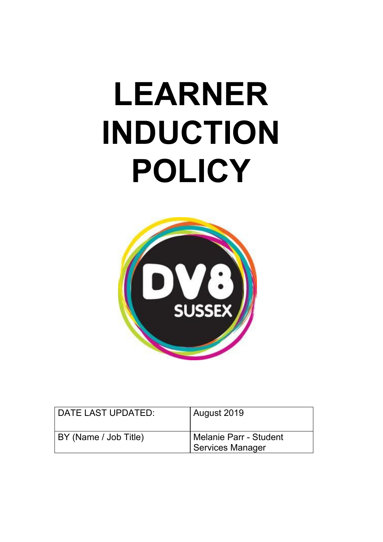# **LEARNER INDUCTION POLICY**



| I DATE LAST UPDATED:  | August 2019                                              |
|-----------------------|----------------------------------------------------------|
| BY (Name / Job Title) | Melanie Parr - Student<br><i><b>Services Manager</b></i> |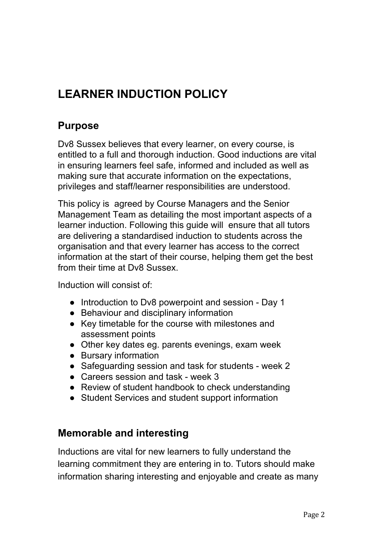# **LEARNER INDUCTION POLICY**

#### **Purpose**

Dv8 Sussex believes that every learner, on every course, is entitled to a full and thorough induction. Good inductions are vital in ensuring learners feel safe, informed and included as well as making sure that accurate information on the expectations, privileges and staff/learner responsibilities are understood.

This policy is agreed by Course Managers and the Senior Management Team as detailing the most important aspects of a learner induction. Following this guide will ensure that all tutors are delivering a standardised induction to students across the organisation and that every learner has access to the correct information at the start of their course, helping them get the best from their time at Dv8 Sussex.

Induction will consist of:

- Introduction to Dv8 powerpoint and session Day 1
- Behaviour and disciplinary information
- Key timetable for the course with milestones and assessment points
- Other key dates eg. parents evenings, exam week
- Bursary information
- Safeguarding session and task for students week 2
- Careers session and task week 3
- Review of student handbook to check understanding
- Student Services and student support information

#### **Memorable and interesting**

Inductions are vital for new learners to fully understand the learning commitment they are entering in to. Tutors should make information sharing interesting and enjoyable and create as many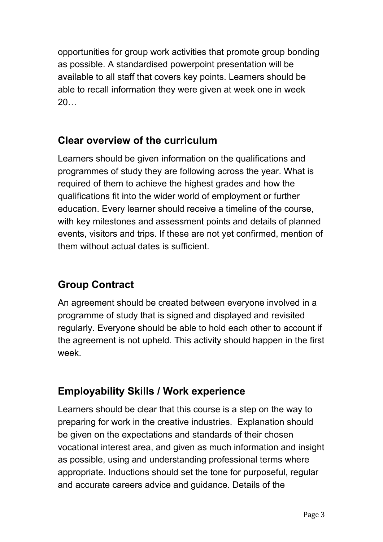opportunities for group work activities that promote group bonding as possible. A standardised powerpoint presentation will be available to all staff that covers key points. Learners should be able to recall information they were given at week one in week 20…

#### **Clear overview of the curriculum**

Learners should be given information on the qualifications and programmes of study they are following across the year. What is required of them to achieve the highest grades and how the qualifications fit into the wider world of employment or further education. Every learner should receive a timeline of the course, with key milestones and assessment points and details of planned events, visitors and trips. If these are not yet confirmed, mention of them without actual dates is sufficient.

## **Group Contract**

An agreement should be created between everyone involved in a programme of study that is signed and displayed and revisited regularly. Everyone should be able to hold each other to account if the agreement is not upheld. This activity should happen in the first week.

## **Employability Skills / Work experience**

Learners should be clear that this course is a step on the way to preparing for work in the creative industries. Explanation should be given on the expectations and standards of their chosen vocational interest area, and given as much information and insight as possible, using and understanding professional terms where appropriate. Inductions should set the tone for purposeful, regular and accurate careers advice and guidance. Details of the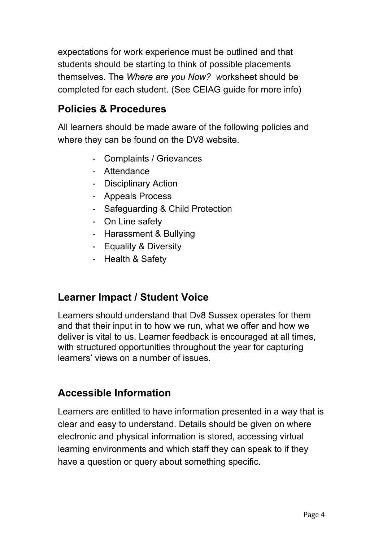expectations for work experience must be outlined and that students should be starting to think of possible placements themselves. The *Where are you Now? w*orksheet should be completed for each student. (See CEIAG guide for more info)

## **Policies & Procedures**

All learners should be made aware of the following policies and where they can be found on the DV8 website.

- Complaints / Grievances
- Attendance
- Disciplinary Action
- Appeals Process
- Safeguarding & Child Protection
- On Line safety
- Harassment & Bullying
- Equality & Diversity
- Health & Safety

## **Learner Impact / Student Voice**

Learners should understand that Dv8 Sussex operates for them and that their input in to how we run, what we offer and how we deliver is vital to us. Learner feedback is encouraged at all times, with structured opportunities throughout the year for capturing learners' views on a number of issues.

## **Accessible Information**

Learners are entitled to have information presented in a way that is clear and easy to understand. Details should be given on where electronic and physical information is stored, accessing virtual learning environments and which staff they can speak to if they have a question or query about something specific.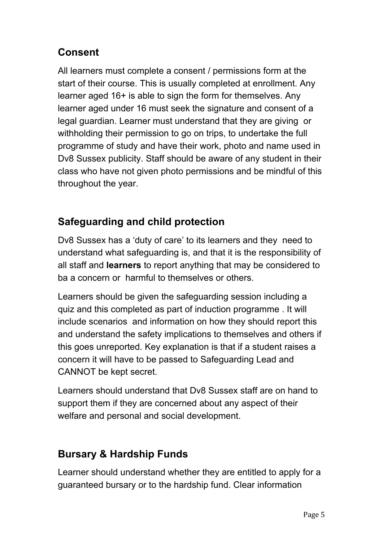## **Consent**

All learners must complete a consent / permissions form at the start of their course. This is usually completed at enrollment. Any learner aged 16+ is able to sign the form for themselves. Any learner aged under 16 must seek the signature and consent of a legal guardian. Learner must understand that they are giving or withholding their permission to go on trips, to undertake the full programme of study and have their work, photo and name used in Dv8 Sussex publicity. Staff should be aware of any student in their class who have not given photo permissions and be mindful of this throughout the year.

## **Safeguarding and child protection**

Dv8 Sussex has a 'duty of care' to its learners and they need to understand what safeguarding is, and that it is the responsibility of all staff and **learners** to report anything that may be considered to ba a concern or harmful to themselves or others.

Learners should be given the safeguarding session including a quiz and this completed as part of induction programme . It will include scenarios and information on how they should report this and understand the safety implications to themselves and others if this goes unreported. Key explanation is that if a student raises a concern it will have to be passed to Safeguarding Lead and CANNOT be kept secret.

Learners should understand that Dv8 Sussex staff are on hand to support them if they are concerned about any aspect of their welfare and personal and social development.

# **Bursary & Hardship Funds**

Learner should understand whether they are entitled to apply for a guaranteed bursary or to the hardship fund. Clear information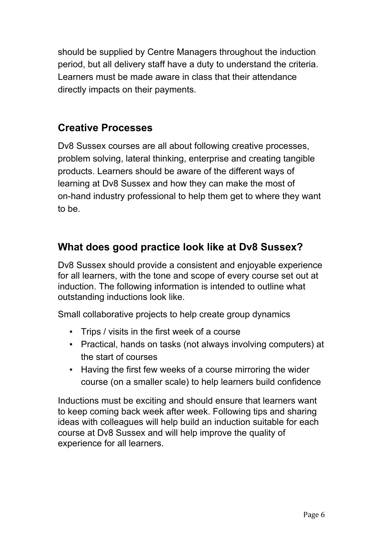should be supplied by Centre Managers throughout the induction period, but all delivery staff have a duty to understand the criteria. Learners must be made aware in class that their attendance directly impacts on their payments.

#### **Creative Processes**

Dv8 Sussex courses are all about following creative processes, problem solving, lateral thinking, enterprise and creating tangible products. Learners should be aware of the different ways of learning at Dv8 Sussex and how they can make the most of on-hand industry professional to help them get to where they want to be.

## **What does good practice look like at Dv8 Sussex?**

Dv8 Sussex should provide a consistent and enjoyable experience for all learners, with the tone and scope of every course set out at induction. The following information is intended to outline what outstanding inductions look like.

Small collaborative projects to help create group dynamics

- Trips / visits in the first week of a course
- Practical, hands on tasks (not always involving computers) at the start of courses
- Having the first few weeks of a course mirroring the wider course (on a smaller scale) to help learners build confidence

Inductions must be exciting and should ensure that learners want to keep coming back week after week. Following tips and sharing ideas with colleagues will help build an induction suitable for each course at Dv8 Sussex and will help improve the quality of experience for all learners.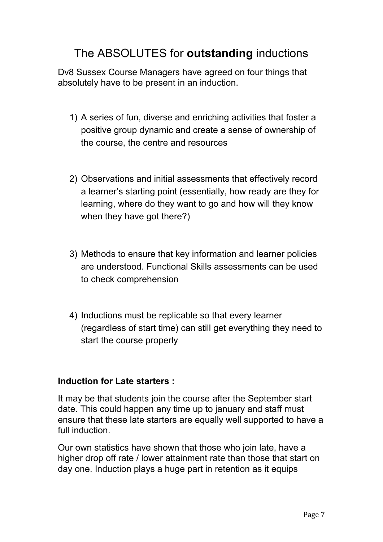# The ABSOLUTES for **outstanding** inductions

Dv8 Sussex Course Managers have agreed on four things that absolutely have to be present in an induction.

- 1) A series of fun, diverse and enriching activities that foster a positive group dynamic and create a sense of ownership of the course, the centre and resources
- 2) Observations and initial assessments that effectively record a learner's starting point (essentially, how ready are they for learning, where do they want to go and how will they know when they have got there?)
- 3) Methods to ensure that key information and learner policies are understood. Functional Skills assessments can be used to check comprehension
- 4) Inductions must be replicable so that every learner (regardless of start time) can still get everything they need to start the course properly

#### **Induction for Late starters :**

It may be that students join the course after the September start date. This could happen any time up to january and staff must ensure that these late starters are equally well supported to have a full induction.

Our own statistics have shown that those who join late, have a higher drop off rate / lower attainment rate than those that start on day one. Induction plays a huge part in retention as it equips